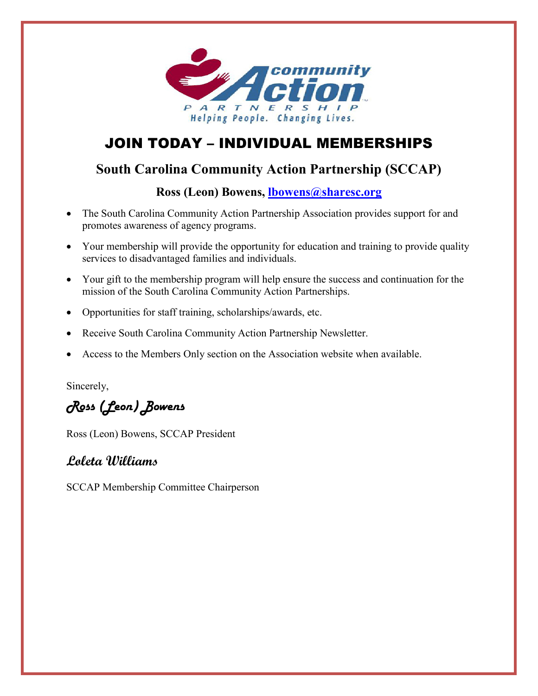

# JOIN TODAY – INDIVIDUAL MEMBERSHIPS

## **South Carolina Community Action Partnership (SCCAP)**

**Ross (Leon) Bowens, [lbowens@sharesc.org](mailto:lbowens@sharesc.org)**

- The South Carolina Community Action Partnership Association provides support for and promotes awareness of agency programs.
- Your membership will provide the opportunity for education and training to provide quality services to disadvantaged families and individuals.
- Your gift to the membership program will help ensure the success and continuation for the mission of the South Carolina Community Action Partnerships.
- Opportunities for staff training, scholarships/awards, etc.
- Receive South Carolina Community Action Partnership Newsletter.
- Access to the Members Only section on the Association website when available.

Sincerely,

Ross (Leon) Bowens

Ross (Leon) Bowens, SCCAP President

## **Loleta Williams**

SCCAP Membership Committee Chairperson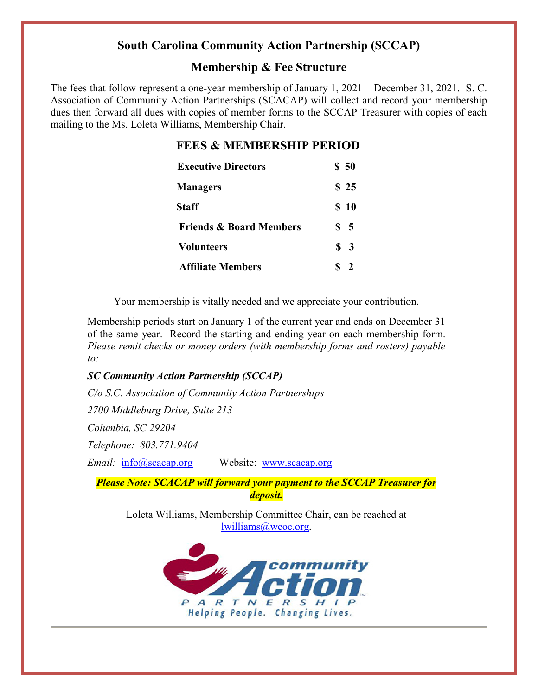## **South Carolina Community Action Partnership (SCCAP)**

## **Membership & Fee Structure**

The fees that follow represent a one-year membership of January 1, 2021 – December 31, 2021. S. C. Association of Community Action Partnerships (SCACAP) will collect and record your membership dues then forward all dues with copies of member forms to the SCCAP Treasurer with copies of each mailing to the Ms. Loleta Williams, Membership Chair.

### **FEES & MEMBERSHIP PERIOD**

| <b>Executive Directors</b>         | \$50          |
|------------------------------------|---------------|
| <b>Managers</b>                    | \$25          |
| Staff                              | \$10          |
| <b>Friends &amp; Board Members</b> | \$ 5          |
| <b>Volunteers</b>                  | $\frac{1}{2}$ |
| <b>Affiliate Members</b>           | <sup>2</sup>  |

Your membership is vitally needed and we appreciate your contribution.

Membership periods start on January 1 of the current year and ends on December 31 of the same year. Record the starting and ending year on each membership form. *Please remit checks or money orders (with membership forms and rosters) payable to:*

#### *SC Community Action Partnership (SCCAP)*

*C/o S.C. Association of Community Action Partnerships*

*2700 Middleburg Drive, Suite 213*

*Columbia, SC 29204* 

*Telephone: 803.771.9404*

*Email:* [info@scacap.org](mailto:info@scacap.org) Website: [www.scacap.org](http://www.scacap.org/)

*Please Note: SCACAP will forward your payment to the SCCAP Treasurer for deposit.*

Loleta Williams, Membership Committee Chair, can be reached at [lwilliams@weoc.org.](mailto:lwilliams@weoc.org)

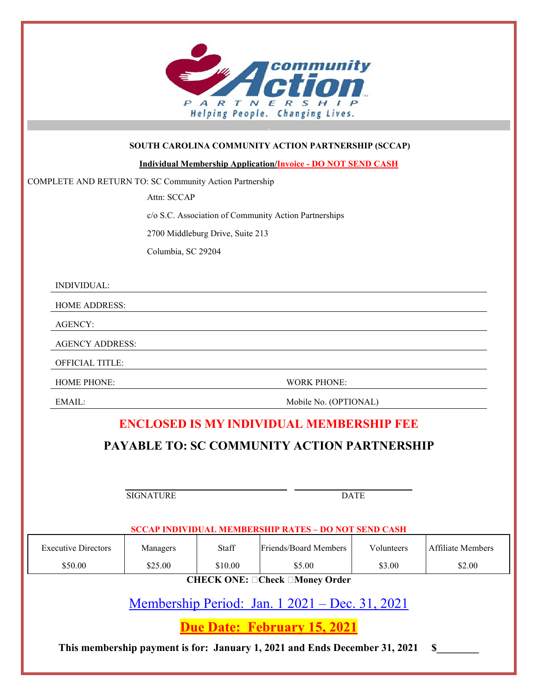

#### **SOUTH CAROLINA COMMUNITY ACTION PARTNERSHIP (SCCAP)**

**Individual Membership Application/Invoice - DO NOT SEND CASH**

COMPLETE AND RETURN TO: SC Community Action Partnership

Attn: SCCAP

c/o S.C. Association of Community Action Partnerships

2700 Middleburg Drive, Suite 213

Columbia, SC 29204

INDIVIDUAL:

HOME ADDRESS:

AGENCY:

AGENCY ADDRESS:

OFFICIAL TITLE:

HOME PHONE: WORK PHONE:

EMAIL: Mobile No. (OPTIONAL)

## **ENCLOSED IS MY INDIVIDUAL MEMBERSHIP FEE**

## **PAYABLE TO: SC COMMUNITY ACTION PARTNERSHIP**

SIGNATURE DATE

#### **SCCAP INDIVIDUAL MEMBERSHIP RATES – DO NOT SEND CASH**

| <b>Executive Directors</b>                                             | Managers | Staff   | Friends/Board Members | Volunteers | Affiliate Members |  |  |  |
|------------------------------------------------------------------------|----------|---------|-----------------------|------------|-------------------|--|--|--|
| \$50.00                                                                | \$25.00  | \$10.00 | \$5.00                | \$3.00     | \$2.00            |  |  |  |
| $C\Pi$ $R$ $C\Pi$ $R$ $D\Pi$ , $D$ $D$ $R$ and $D$ $\Pi$ and $D$ $\Pi$ |          |         |                       |            |                   |  |  |  |

CHECK ONE: ⊔Check ⊔Money Order

Membership Period: Jan. 1 2021 – Dec. 31, 2021

**Due Date: February 15, 2021**

**This membership payment is for: January 1, 2021 and Ends December 31, 2021 \$\_\_\_\_\_\_\_\_**